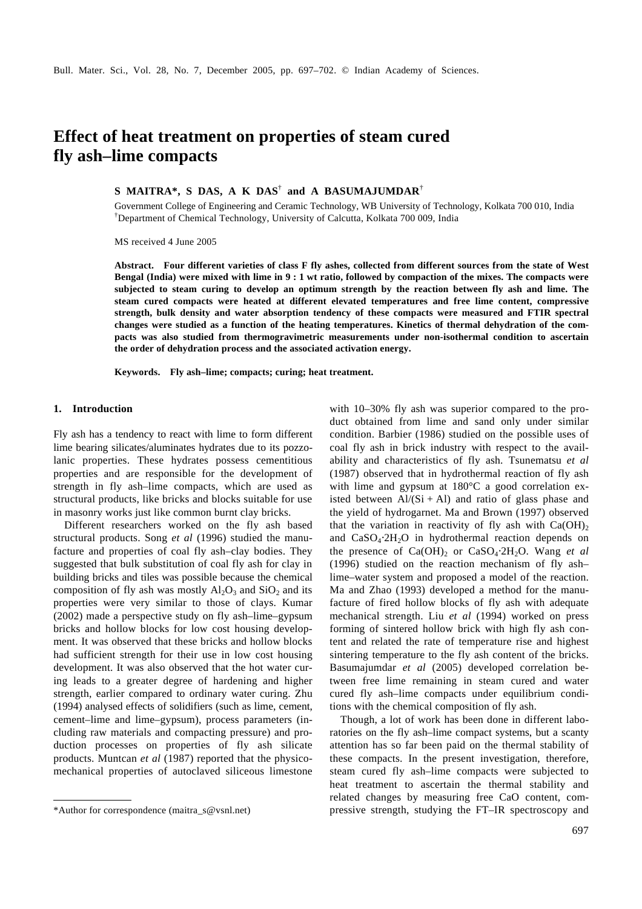# **Effect of heat treatment on properties of steam cured fly ash–lime compacts**

# **S MAITRA\*, S DAS, A K DAS**† **and A BASUMAJUMDAR**†

Government College of Engineering and Ceramic Technology, WB University of Technology, Kolkata 700 010, India †Department of Chemical Technology, University of Calcutta, Kolkata 700 009, India

MS received 4 June 2005

**Abstract. Four different varieties of class F fly ashes, collected from different sources from the state of West Bengal (India) were mixed with lime in 9 : 1 wt ratio, followed by compaction of the mixes. The compacts were subjected to steam curing to develop an optimum strength by the reaction between fly ash and lime. The steam cured compacts were heated at different elevated temperatures and free lime content, compressive strength, bulk density and water absorption tendency of these compacts were measured and FTIR spectral changes were studied as a function of the heating temperatures. Kinetics of thermal dehydration of the compacts was also studied from thermogravimetric measurements under non-isothermal condition to ascertain the order of dehydration process and the associated activation energy.**

**Keywords. Fly ash–lime; compacts; curing; heat treatment.**

## **1. Introduction**

Fly ash has a tendency to react with lime to form different lime bearing silicates/aluminates hydrates due to its pozzolanic properties. These hydrates possess cementitious properties and are responsible for the development of strength in fly ash–lime compacts, which are used as structural products, like bricks and blocks suitable for use in masonry works just like common burnt clay bricks.

Different researchers worked on the fly ash based structural products. Song *et al* (1996) studied the manufacture and properties of coal fly ash–clay bodies. They suggested that bulk substitution of coal fly ash for clay in building bricks and tiles was possible because the chemical composition of fly ash was mostly  $Al_2O_3$  and  $SiO_2$  and its properties were very similar to those of clays. Kumar (2002) made a perspective study on fly ash–lime–gypsum bricks and hollow blocks for low cost housing development. It was observed that these bricks and hollow blocks had sufficient strength for their use in low cost housing development. It was also observed that the hot water curing leads to a greater degree of hardening and higher strength, earlier compared to ordinary water curing. Zhu (1994) analysed effects of solidifiers (such as lime, cement, cement–lime and lime–gypsum), process parameters (including raw materials and compacting pressure) and production processes on properties of fly ash silicate products. Muntcan *et al* (1987) reported that the physicomechanical properties of autoclaved siliceous limestone

with 10–30% fly ash was superior compared to the product obtained from lime and sand only under similar condition. Barbier (1986) studied on the possible uses of coal fly ash in brick industry with respect to the availability and characteristics of fly ash. Tsunematsu *et al* (1987) observed that in hydrothermal reaction of fly ash with lime and gypsum at 180<sup>o</sup>C a good correlation existed between  $AI/(Si + Al)$  and ratio of glass phase and the yield of hydrogarnet. Ma and Brown (1997) observed that the variation in reactivity of fly ash with  $Ca(OH)_2$ and  $CaSO<sub>4</sub>·2H<sub>2</sub>O$  in hydrothermal reaction depends on the presence of Ca(OH)<sub>2</sub> or CaSO<sub>4</sub>⋅2H<sub>2</sub>O. Wang *et al* (1996) studied on the reaction mechanism of fly ash– lime–water system and proposed a model of the reaction. Ma and Zhao (1993) developed a method for the manufacture of fired hollow blocks of fly ash with adequate mechanical strength. Liu *et al* (1994) worked on press forming of sintered hollow brick with high fly ash content and related the rate of temperature rise and highest sintering temperature to the fly ash content of the bricks. Basumajumdar *et al* (2005) developed correlation between free lime remaining in steam cured and water cured fly ash–lime compacts under equilibrium conditions with the chemical composition of fly ash.

Though, a lot of work has been done in different laboratories on the fly ash–lime compact systems, but a scanty attention has so far been paid on the thermal stability of these compacts. In the present investigation, therefore, steam cured fly ash–lime compacts were subjected to heat treatment to ascertain the thermal stability and related changes by measuring free CaO content, com- \*Author for correspondence (maitra\_s@vsnl.net) pressive strength, studying the FT–IR spectroscopy and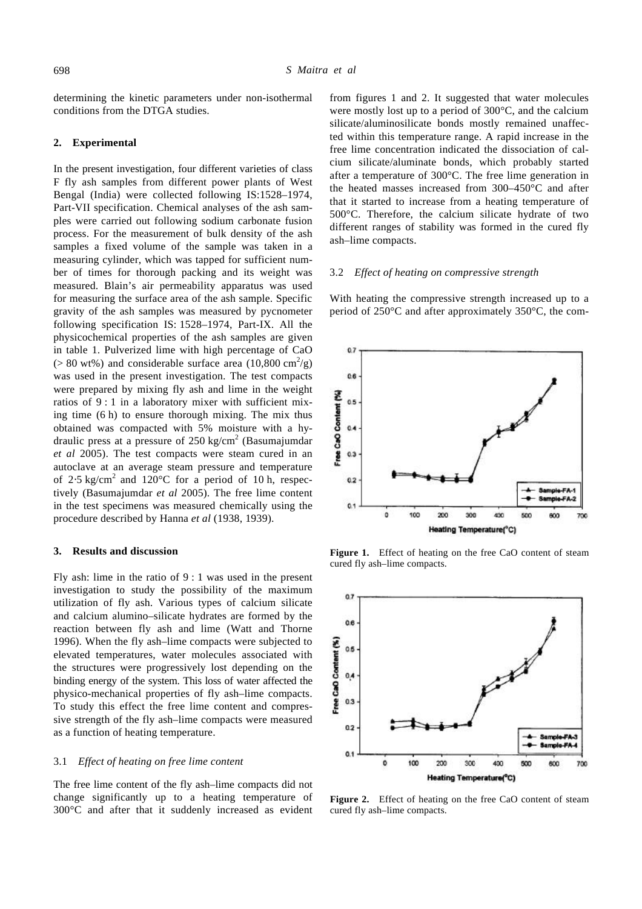determining the kinetic parameters under non-isothermal conditions from the DTGA studies.

## **2. Experimental**

In the present investigation, four different varieties of class F fly ash samples from different power plants of West Bengal (India) were collected following IS:1528–1974, Part-VII specification. Chemical analyses of the ash samples were carried out following sodium carbonate fusion process. For the measurement of bulk density of the ash samples a fixed volume of the sample was taken in a measuring cylinder, which was tapped for sufficient number of times for thorough packing and its weight was measured. Blain's air permeability apparatus was used for measuring the surface area of the ash sample. Specific gravity of the ash samples was measured by pycnometer following specification IS: 1528–1974, Part-IX. All the physicochemical properties of the ash samples are given in table 1. Pulverized lime with high percentage of CaO  $( > 80 \text{ wt\%})$  and considerable surface area  $(10,800 \text{ cm}^2/\text{g})$ was used in the present investigation. The test compacts were prepared by mixing fly ash and lime in the weight ratios of 9 : 1 in a laboratory mixer with sufficient mixing time (6 h) to ensure thorough mixing. The mix thus obtained was compacted with 5% moisture with a hydraulic press at a pressure of 250 kg/cm<sup>2</sup> (Basumajumdar *et al* 2005). The test compacts were steam cured in an autoclave at an average steam pressure and temperature of  $2.5 \text{ kg/cm}^2$  and  $120^{\circ}\text{C}$  for a period of 10 h, respectively (Basumajumdar *et al* 2005). The free lime content in the test specimens was measured chemically using the procedure described by Hanna *et al* (1938, 1939).

## **3. Results and discussion**

Fly ash: lime in the ratio of 9 : 1 was used in the present investigation to study the possibility of the maximum utilization of fly ash. Various types of calcium silicate and calcium alumino–silicate hydrates are formed by the reaction between fly ash and lime (Watt and Thorne 1996). When the fly ash–lime compacts were subjected to elevated temperatures, water molecules associated with the structures were progressively lost depending on the binding energy of the system. This loss of water affected the physico-mechanical properties of fly ash–lime compacts. To study this effect the free lime content and compressive strength of the fly ash–lime compacts were measured as a function of heating temperature.

## 3.1 *Effect of heating on free lime content*

The free lime content of the fly ash–lime compacts did not change significantly up to a heating temperature of 300°C and after that it suddenly increased as evident from figures 1 and 2. It suggested that water molecules were mostly lost up to a period of 300°C, and the calcium silicate/aluminosilicate bonds mostly remained unaffected within this temperature range. A rapid increase in the free lime concentration indicated the dissociation of calcium silicate/aluminate bonds, which probably started after a temperature of 300°C. The free lime generation in the heated masses increased from 300–450°C and after that it started to increase from a heating temperature of 500°C. Therefore, the calcium silicate hydrate of two different ranges of stability was formed in the cured fly ash–lime compacts.

#### 3.2 *Effect of heating on compressive strength*

With heating the compressive strength increased up to a period of 250°C and after approximately 350°C, the com-



Figure 1. Effect of heating on the free CaO content of steam cured fly ash–lime compacts.



Figure 2. Effect of heating on the free CaO content of steam cured fly ash–lime compacts.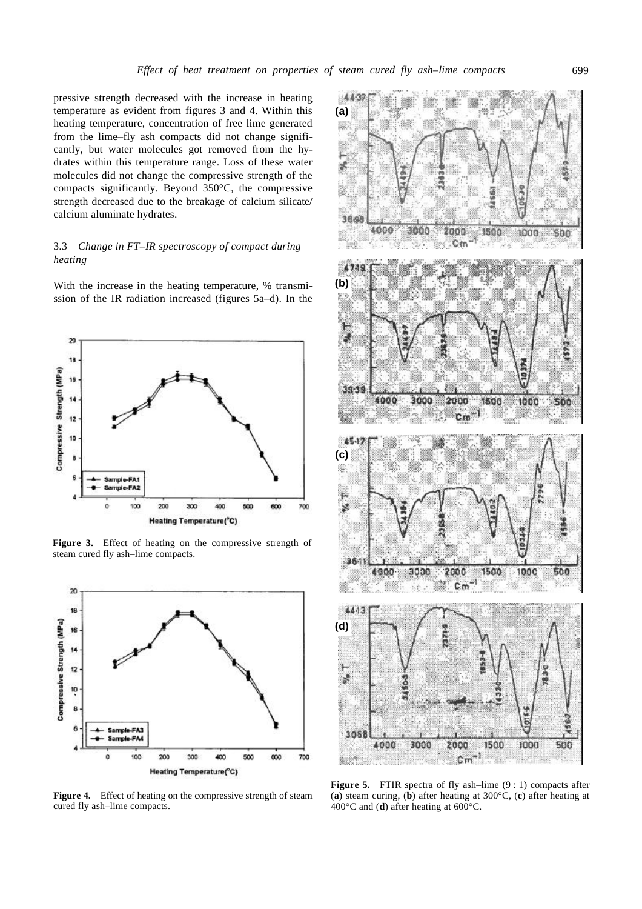pressive strength decreased with the increase in heating temperature as evident from figures 3 and 4. Within this heating temperature, concentration of free lime generated from the lime–fly ash compacts did not change significantly, but water molecules got removed from the hydrates within this temperature range. Loss of these water molecules did not change the compressive strength of the compacts significantly. Beyond 350°C, the compressive strength decreased due to the breakage of calcium silicate/ calcium aluminate hydrates.

# 3.3 *Change in FT–IR spectroscopy of compact during heating*

With the increase in the heating temperature, % transmission of the IR radiation increased (figures 5a–d). In the



**Figure 3.** Effect of heating on the compressive strength of steam cured fly ash–lime compacts.



Figure 4. Effect of heating on the compressive strength of steam cured fly ash–lime compacts.



Figure 5. FTIR spectra of fly ash-lime  $(9:1)$  compacts after (**a**) steam curing, (**b**) after heating at 300°C, (**c**) after heating at 400°C and (**d**) after heating at 600°C.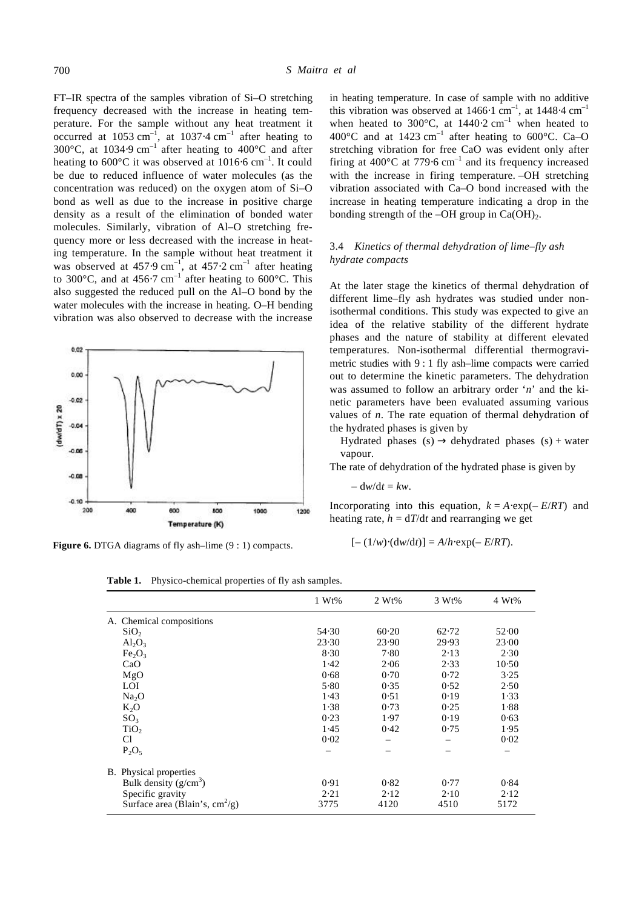FT–IR spectra of the samples vibration of Si–O stretching frequency decreased with the increase in heating temperature. For the sample without any heat treatment it occurred at  $1053 \text{ cm}^{-1}$ , at  $1037.4 \text{ cm}^{-1}$  after heating to 300°C, at 1034⋅9 cm–1 after heating to 400°C and after heating to  $600^{\circ}$ C it was observed at 1016⋅6 cm<sup>-1</sup>. It could be due to reduced influence of water molecules (as the concentration was reduced) on the oxygen atom of Si–O bond as well as due to the increase in positive charge density as a result of the elimination of bonded water molecules. Similarly, vibration of Al–O stretching frequency more or less decreased with the increase in heating temperature. In the sample without heat treatment it was observed at 457.9 cm<sup>-1</sup>, at 457.2 cm<sup>-1</sup> after heating to 300 $^{\circ}$ C, and at 456 $\cdot$ 7 cm<sup>-1</sup> after heating to 600 $^{\circ}$ C. This also suggested the reduced pull on the Al–O bond by the water molecules with the increase in heating. O–H bending vibration was also observed to decrease with the increase



**Figure 6.** DTGA diagrams of fly ash–lime  $(9:1)$  compacts.

in heating temperature. In case of sample with no additive this vibration was observed at  $1466 \cdot 1 \text{ cm}^{-1}$ , at  $1448 \cdot 4 \text{ cm}^{-1}$ when heated to 300 $^{\circ}$ C, at 1440⋅2 cm<sup>-1</sup> when heated to 400 $^{\circ}$ C and at 1423 cm<sup>-1</sup> after heating to 600 $^{\circ}$ C. Ca–O stretching vibration for free CaO was evident only after firing at 400 $^{\circ}$ C at 779⋅6 cm<sup>-1</sup> and its frequency increased with the increase in firing temperature. –OH stretching vibration associated with Ca–O bond increased with the increase in heating temperature indicating a drop in the bonding strength of the –OH group in  $Ca(OH)_2$ .

# 3.4 *Kinetics of thermal dehydration of lime–fly ash hydrate compacts*

At the later stage the kinetics of thermal dehydration of different lime–fly ash hydrates was studied under nonisothermal conditions. This study was expected to give an idea of the relative stability of the different hydrate phases and the nature of stability at different elevated temperatures. Non-isothermal differential thermogravimetric studies with 9 : 1 fly ash–lime compacts were carried out to determine the kinetic parameters. The dehydration was assumed to follow an arbitrary order '*n*' and the kinetic parameters have been evaluated assuming various values of *n*. The rate equation of thermal dehydration of the hydrated phases is given by

Hydrated phases  $(s) \rightarrow$  dehydrated phases  $(s)$  + water vapour.

The rate of dehydration of the hydrated phase is given by

$$
-\mathrm{d}w/\mathrm{d}t = kw.
$$

Incorporating into this equation,  $k = A \exp(-E/RT)$  and heating rate,  $h = dT/dt$  and rearranging we get

$$
[-(1/w)\cdot(\mathrm{d}w/\mathrm{d}t)]=A/h\cdot\exp(-E/RT).
$$

**Table 1.** Physico-chemical properties of fly ash samples.

|                                                 | 1 Wt% | $2 Wt\%$ | 3 Wt% | 4 Wt% |
|-------------------------------------------------|-------|----------|-------|-------|
| A. Chemical compositions                        |       |          |       |       |
| SiO <sub>2</sub>                                | 54.30 | 60.20    | 62.72 | 52.00 |
| $Al_2O_3$                                       | 23.30 | 23.90    | 29.93 | 23.00 |
| Fe <sub>2</sub> O <sub>3</sub>                  | 8.30  | 7.80     | 2.13  | 2.30  |
| CaO                                             | 1.42  | 2.06     | 2.33  | 10.50 |
| MgO                                             | 0.68  | 0.70     | 0.72  | 3.25  |
| <b>LOI</b>                                      | 5.80  | 0.35     | 0.52  | 2.50  |
| Na <sub>2</sub> O                               | 1.43  | 0.51     | 0.19  | 1.33  |
| $K_2O$                                          | 1.38  | 0.73     | 0.25  | 1.88  |
| SO <sub>3</sub>                                 | 0.23  | 1.97     | 0.19  | 0.63  |
| TiO <sub>2</sub>                                | 1.45  | 0.42     | 0.75  | 1.95  |
| C <sub>1</sub>                                  | 0.02  |          |       | 0.02  |
| $P_2O_5$                                        |       |          |       |       |
| Physical properties<br>B.                       |       |          |       |       |
| Bulk density $(g/cm^3)$                         | 0.91  | 0.82     | 0.77  | 0.84  |
| Specific gravity                                | 2.21  | 2.12     | 2.10  | 2.12  |
| Surface area (Blain's, $\text{cm}^2/\text{g}$ ) | 3775  | 4120     | 4510  | 5172  |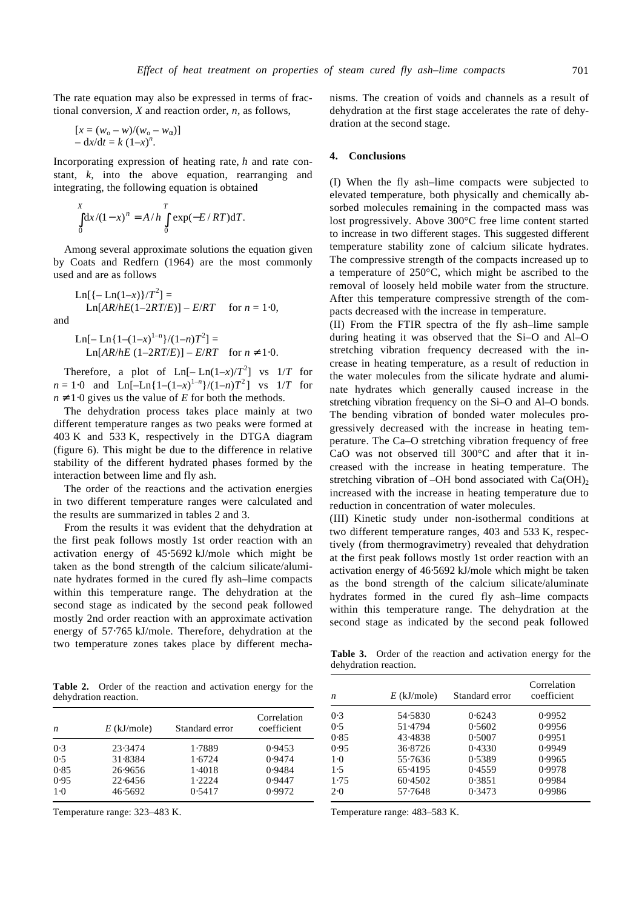The rate equation may also be expressed in terms of fractional conversion, *X* and reaction order, *n*, as follows,

$$
[x = (w_0 - w)/(w_0 - w_a)] - dx/dt = k (1 - x)^n.
$$

Incorporating expression of heating rate, *h* and rate constant, *k*, into the above equation, rearranging and integrating, the following equation is obtained

$$
\int_{0}^{X} dx/(1-x)^{n} = A/h \int_{0}^{T} \exp(-E/RT) dT.
$$

Among several approximate solutions the equation given by Coats and Redfern (1964) are the most commonly used and are as follows

Ln[{– Ln(1–*x*)}/*T* 2 ] = Ln[*AR*/*hE*(1–2*RT*/*E*)] – *E*/*RT* for *n* = 1⋅0,

and

Ln[- Ln{1-(1-x)<sup>1-n</sup>}/(1-n)
$$
T^2
$$
] =  
Ln[AR/hE (1-2RT/E)] – E/RT for  $n \ne 1.0$ .

Therefore, a plot of  $\text{Ln}[-\text{Ln}(1-x)/T^2]$  vs  $1/T$  for  $n = 1.0$  and  $\text{Ln}[-\text{Ln}\{1-(1-x)^{1-n}\}/(1-n)T^2]$  vs  $1/T$  for  $n \neq 1.0$  gives us the value of *E* for both the methods.

The dehydration process takes place mainly at two different temperature ranges as two peaks were formed at 403 K and 533 K, respectively in the DTGA diagram (figure 6). This might be due to the difference in relative stability of the different hydrated phases formed by the interaction between lime and fly ash.

The order of the reactions and the activation energies in two different temperature ranges were calculated and the results are summarized in tables 2 and 3.

From the results it was evident that the dehydration at the first peak follows mostly 1st order reaction with an activation energy of 45⋅5692 kJ/mole which might be taken as the bond strength of the calcium silicate/aluminate hydrates formed in the cured fly ash–lime compacts within this temperature range. The dehydration at the second stage as indicated by the second peak followed mostly 2nd order reaction with an approximate activation energy of 57⋅765 kJ/mole. Therefore, dehydration at the two temperature zones takes place by different mecha-

**Table 2.** Order of the reaction and activation energy for the dehydration reaction.

| n     | $E$ (kJ/mole) | Standard error | Correlation<br>coefficient |
|-------|---------------|----------------|----------------------------|
| 0.3   | 23.3474       | 1.7889         | 0.9453                     |
| 0.5   | 31.8384       | 1.6724         | 0.9474                     |
| 0.85  | 26.9656       | 1.4018         | 0.9484                     |
| 0.95  | 22.6456       | 1.2224         | 0.9447                     |
| $1-0$ | 46.5692       | 0.5417         | 0.9972                     |

Temperature range: 323–483 K.

nisms. The creation of voids and channels as a result of dehydration at the first stage accelerates the rate of dehydration at the second stage.

## **4. Conclusions**

(I) When the fly ash–lime compacts were subjected to elevated temperature, both physically and chemically absorbed molecules remaining in the compacted mass was lost progressively. Above 300°C free lime content started to increase in two different stages. This suggested different temperature stability zone of calcium silicate hydrates. The compressive strength of the compacts increased up to a temperature of 250°C, which might be ascribed to the removal of loosely held mobile water from the structure. After this temperature compressive strength of the compacts decreased with the increase in temperature.

(II) From the FTIR spectra of the fly ash–lime sample during heating it was observed that the Si–O and Al–O stretching vibration frequency decreased with the increase in heating temperature, as a result of reduction in the water molecules from the silicate hydrate and aluminate hydrates which generally caused increase in the stretching vibration frequency on the Si–O and Al–O bonds. The bending vibration of bonded water molecules progressively decreased with the increase in heating temperature. The Ca–O stretching vibration frequency of free CaO was not observed till 300°C and after that it increased with the increase in heating temperature. The stretching vibration of –OH bond associated with  $Ca(OH)_2$ increased with the increase in heating temperature due to reduction in concentration of water molecules.

(III) Kinetic study under non-isothermal conditions at two different temperature ranges, 403 and 533 K, respectively (from thermogravimetry) revealed that dehydration at the first peak follows mostly 1st order reaction with an activation energy of 46⋅5692 kJ/mole which might be taken as the bond strength of the calcium silicate/aluminate hydrates formed in the cured fly ash–lime compacts within this temperature range. The dehydration at the second stage as indicated by the second peak followed

**Table 3.** Order of the reaction and activation energy for the dehydration reaction.

| n     | $E$ (kJ/mole) | Standard error | Correlation<br>coefficient |
|-------|---------------|----------------|----------------------------|
| 0.3   | 54.5830       | 0.6243         | 0.9952                     |
| 0.5   | 51.4794       | 0.5602         | 0.9956                     |
| 0.85  | 43.4838       | 0.5007         | 0.9951                     |
| 0.95  | 36.8726       | 0.4330         | 0.9949                     |
| $1-0$ | 55.7636       | 0.5389         | 0.9965                     |
| 1.5   | 65.4195       | 0.4559         | 0.9978                     |
| 1.75  | 60.4502       | 0.3851         | 0.9984                     |
| 2.0   | 57.7648       | 0.3473         | 0.9986                     |

Temperature range: 483–583 K.